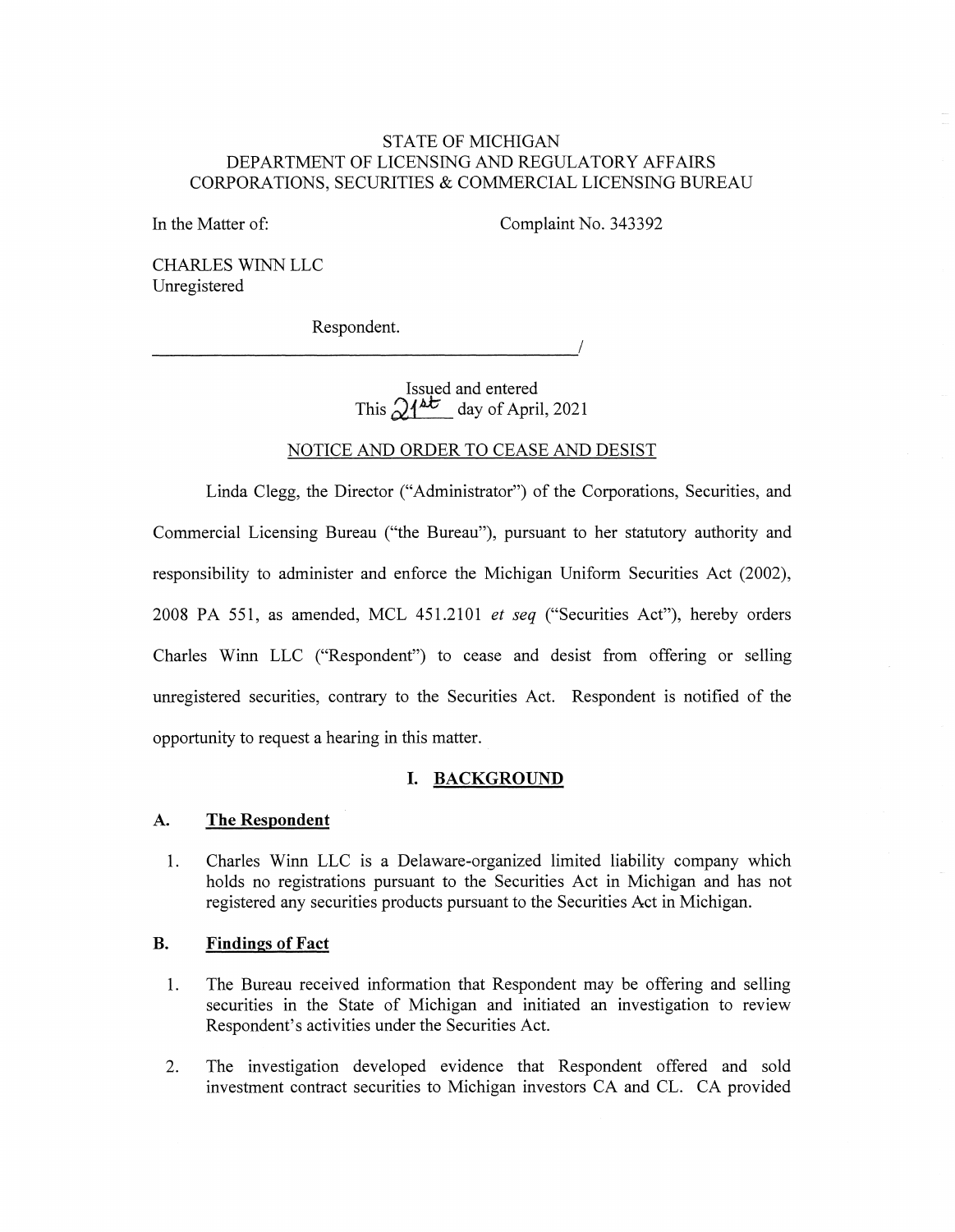# STATE OF MICHIGAN DEPARTMENT OF LICENSING AND REGULATORY AFFAIRS CORPORATIONS, SECURITIES & COMMERCIAL LICENSING BUREAU

In the Matter of:

Complaint No. 343392

CHARLES WINN LLC Unregistered

Respondent. **Parameters Respondent.** 

> Issued and entered This  $\sqrt{4\epsilon}$  day of April, 2021

# NOTICE AND ORDER TO CEASE AND DESIST

Linda Clegg, the Director ("Administrator") of the Corporations, Securities, and Commercial Licensing Bureau ("the Bureau"), pursuant to her statutory authority and responsibility to administer and enforce the Michigan Uniform Securities Act (2002), 2008 PA 551, as amended, MCL 451.2101 *et seq* ("Securities Act"), hereby orders Charles Winn LLC ("Respondent") to cease and desist from offering or selling unregistered securities, contrary to the Securities Act. Respondent is notified of the opportunity to request a hearing in this matter.

# **I. BACKGROUND**

#### **A. The Respondent**

1. Charles Winn LLC is a Delaware-organized limited liability company which holds no registrations pursuant to the Securities Act in Michigan and has not registered any securities products pursuant to the Securities Act in Michigan.

### **B. Findings of Fact**

- 1. The Bureau received information that Respondent may be offering and selling securities in the State of Michigan and initiated an investigation to review Respondent's activities under the Securities Act.
- 2. The investigation developed evidence that Respondent offered and sold investment contract securities to Michigan investors CA and CL. CA provided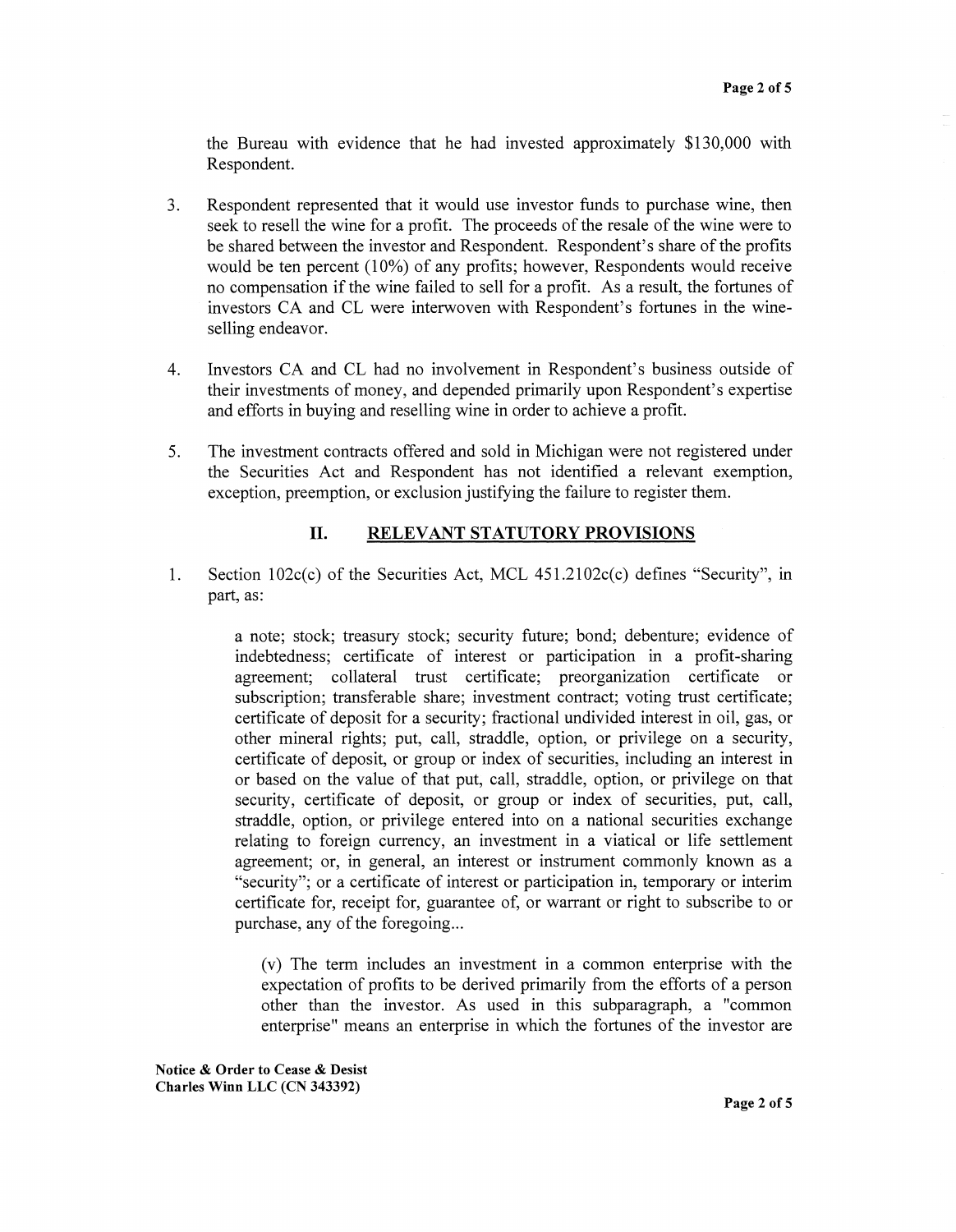the Bureau with evidence that he had invested approximately \$130,000 with Respondent.

- 3. Respondent represented that it would use investor funds to purchase wine, then seek to resell the wine for a profit. The proceeds of the resale of the wine were to be shared between the investor and Respondent. Respondent's share of the profits would be ten percent (10%) of any profits; however, Respondents would receive no compensation if the wine failed to sell for a profit. As a result, the fortunes of investors CA and CL were interwoven with Respondent's fortunes in the wineselling endeavor.
- 4. Investors CA and CL had no involvement in Respondent's business outside of their investments of money, and depended primarily upon Respondent's expertise and efforts in buying and reselling wine in order to achieve a profit.
- 5. The investment contracts offered and sold in Michigan were not registered under the Securities Act and Respondent has not identified a relevant exemption, exception, preemption, or exclusion justifying the failure to register them.

### II. **RELEVANT STATUTORY PROVISIONS**

1. Section  $102c(c)$  of the Securities Act, MCL 451.2102 $c(c)$  defines "Security", in part, as:

> a note; stock; treasury stock; security future; bond; debenture; evidence of indebtedness; certificate of interest or participation in a profit-sharing agreement; collateral trust certificate; preorganization certificate or subscription; transferable share; investment contract; voting trust certificate; certificate of deposit for a security; fractional undivided interest in oil, gas, or other mineral rights; put, call, straddle, option, or privilege on a security, certificate of deposit, or group or index of securities, including an interest in or based on the value of that put, call, straddle, option, or privilege on that security, certificate of deposit, or group or index of securities, put, call, straddle, option, or privilege entered into on a national securities exchange relating to foreign currency, an investment in a viatical or life settlement agreement; or, in general, an interest or instrument commonly known as a "security"; or a certificate of interest or participation in, temporary or interim certificate for, receipt for, guarantee of, or warrant or right to subscribe to or purchase, any of the foregoing...

(v) The term includes an investment in a common enterprise with the expectation of profits to be derived primarily from the efforts of a person other than the investor. As used in this subparagraph, a "common enterprise" means an enterprise in which the fortunes of the investor are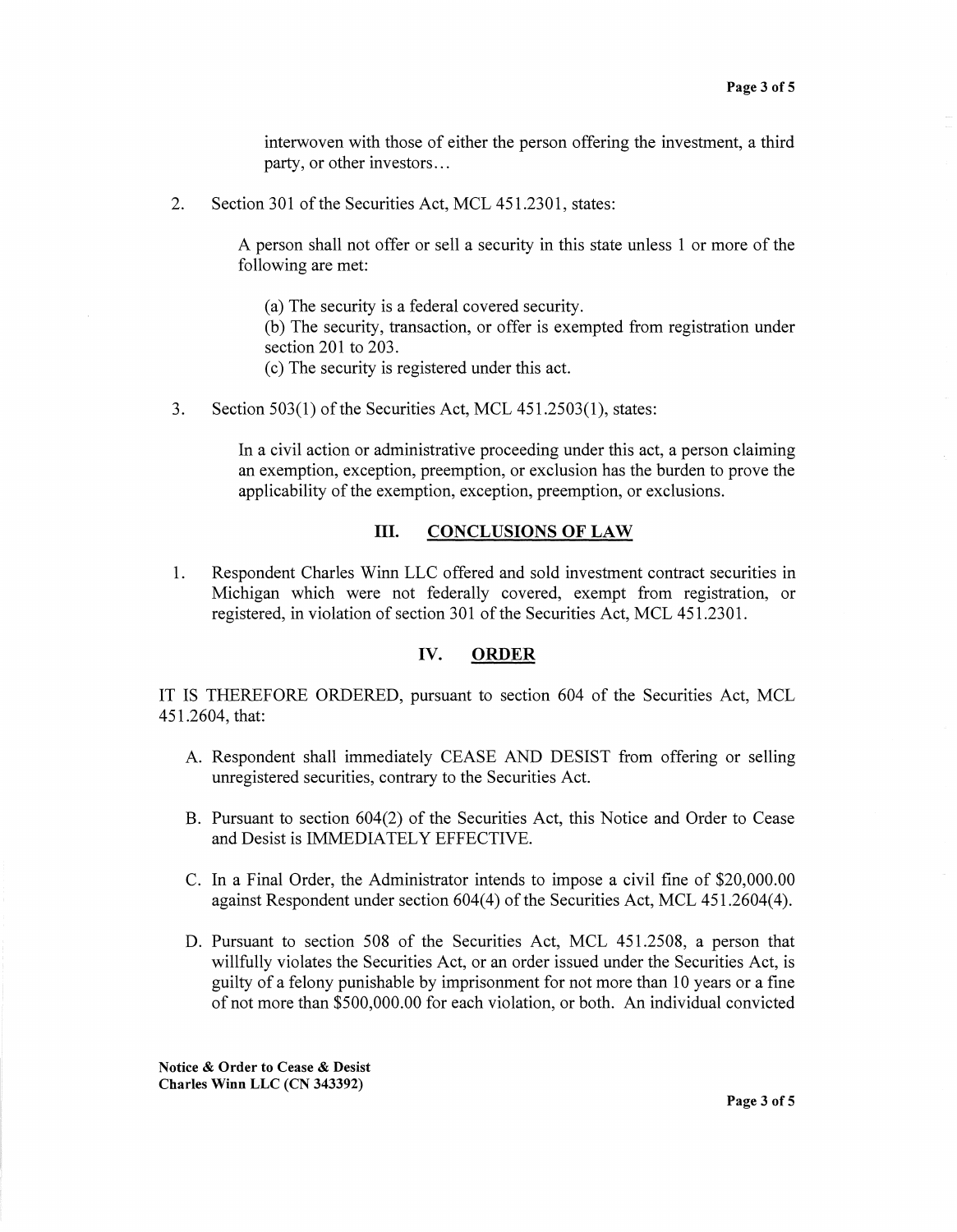interwoven with those of either the person offering the investment, a third party, or other investors ...

2. Section 301 of the Securities Act, MCL 451.2301, states:

A person shall not offer or sell a security in this state unless 1 or more of the following are met:

(a) The security is a federal covered security.

(b) The security, transaction, or offer is exempted from registration under section 201 to 203.

- ( c) The security is registered under this act.
- 3. Section 503(1) of the Securities Act, MCL 451.2503(1), states:

In a civil action or administrative proceeding under this act, a person claiming an exemption, exception, preemption, or exclusion has the burden to prove the applicability of the exemption, exception, preemption, or exclusions.

#### **III.** CONCLUSIONS OF LAW

1. Respondent Charles Winn LLC offered and sold investment contract securities **in**  Michigan which were not federally covered, exempt from registration, or registered, in violation of section 301 of the Securities Act, MCL 451.2301.

### **IV. ORDER**

IT IS THEREFORE ORDERED, pursuant to section 604 of the Securities Act, MCL 451.2604, that:

- A. Respondent shall immediately CEASE AND DESIST from offering or selling unregistered securities, contrary to the Securities Act.
- B. Pursuant to section 604(2) of the Securities Act, this Notice and Order to Cease and Desist is IMMEDIATELY EFFECTIVE.
- C. In a Final Order, the Administrator intends to impose a civil fine of \$20,000.00 against Respondent under section 604(4) of the Securities Act, MCL 451.2604(4).
- D. Pursuant to section 508 of the Securities Act, MCL 451.2508, a person that willfully violates the Securities Act, or an order issued under the Securities Act, is guilty of a felony punishable by imprisonment for not more than 10 years or a fine of not more than \$500,000.00 for each violation, or both. An individual convicted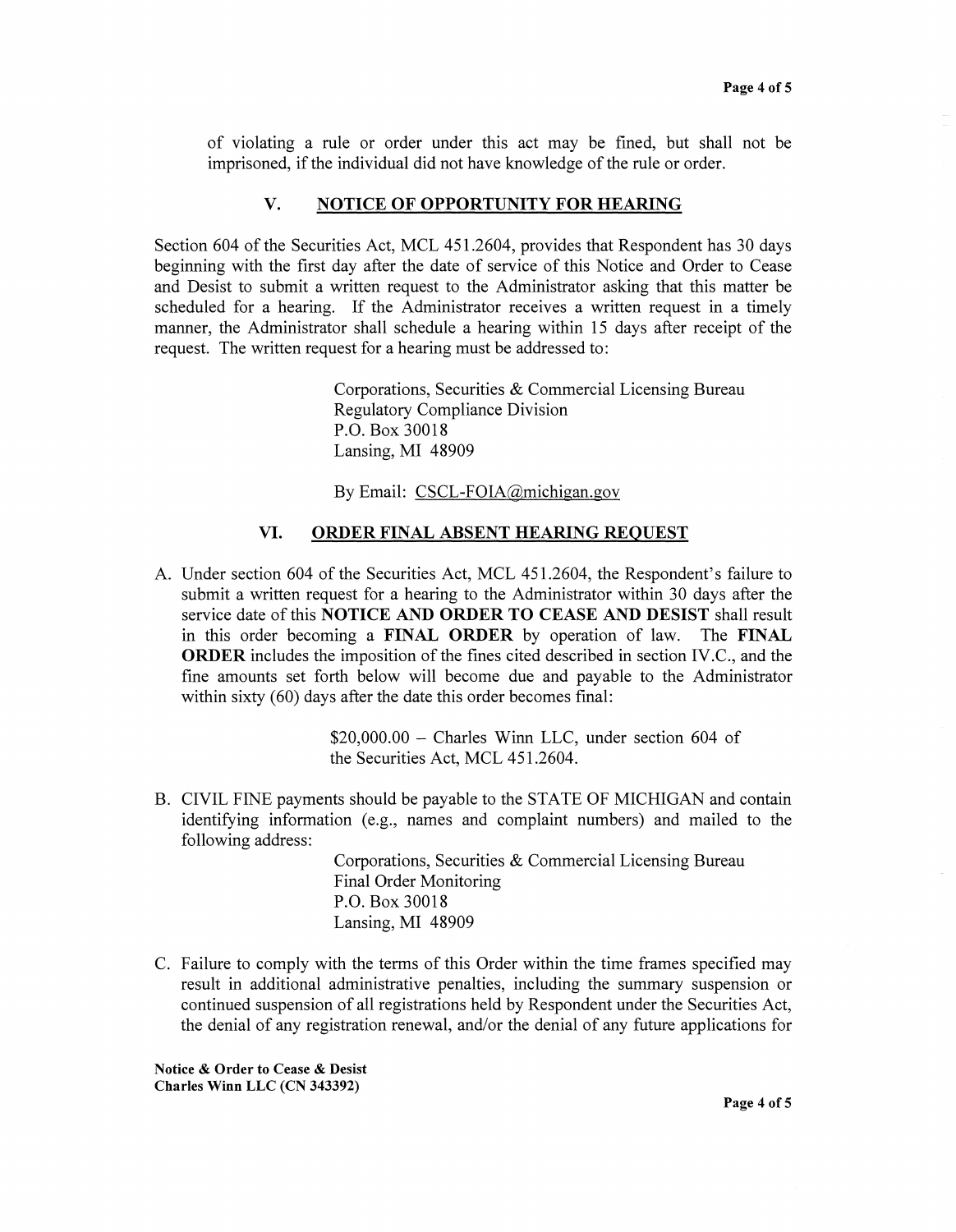of violating a rule or order under this act may be fined, but shall not be imprisoned, if the individual did not have knowledge of the rule or order.

# **V. NOTICE OF OPPORTUNITY FOR HEARING**

Section 604 of the Securities Act, MCL 451.2604, provides that Respondent has 30 days beginning with the first day after the date of service of this Notice and Order to Cease and Desist to submit a written request to the Administrator asking that this matter be scheduled for a hearing. If the Administrator receives a written request in a timely manner, the Administrator shall schedule a hearing within 15 days after receipt of the request. The written request for a hearing must be addressed to:

> Corporations, Securities & Commercial Licensing Bureau Regulatory Compliance Division P.O. Box 30018 Lansing, MI 48909

By Email: CSCL-FOIA@michigan.gov

#### **VI. ORDER FINAL ABSENT HEARING REQUEST**

A. Under section 604 of the Securities Act, MCL 451.2604, the Respondent's failure to submit a written request for a hearing to the Administrator within 30 days after the service date of this **NOTICE AND ORDER TO CEASE AND DESIST** shall result in this order becoming a **FINAL ORDER** by operation of law. The **FINAL ORDER** includes the imposition of the fines cited described in section IV.C., and the fine amounts set forth below will become due and payable to the Administrator within sixty (60) days after the date this order becomes final:

> $$20,000.00 - Charles$  Winn LLC, under section 604 of the Securities Act, MCL 451.2604.

B. CIVIL FINE payments should be payable to the STATE OF MICHIGAN and contain identifying information (e.g., names and complaint numbers) and mailed to the following address:

> Corporations, Securities & Commercial Licensing Bureau Final Order Monitoring P.O. Box 30018 Lansing, MI 48909

C. Failure to comply with the terms of this Order within the time frames specified may result in additional administrative penalties, including the summary suspension or continued suspension of all registrations held by Respondent under the Securities Act, the denial of any registration renewal, and/or the denial of any future applications for